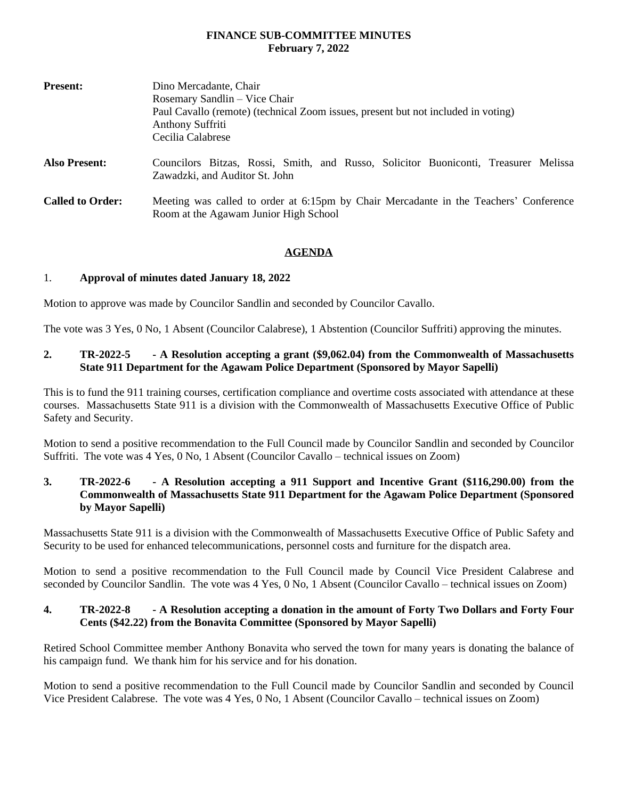#### **FINANCE SUB-COMMITTEE MINUTES February 7, 2022**

| <b>Present:</b>         | Dino Mercadante, Chair                                                                                                |
|-------------------------|-----------------------------------------------------------------------------------------------------------------------|
|                         | Rosemary Sandlin – Vice Chair                                                                                         |
|                         | Paul Cavallo (remote) (technical Zoom issues, present but not included in voting)                                     |
|                         | <b>Anthony Suffriti</b>                                                                                               |
|                         | Cecilia Calabrese                                                                                                     |
| <b>Also Present:</b>    | Councilors Bitzas, Rossi, Smith, and Russo, Solicitor Buoniconti, Treasurer Melissa<br>Zawadzki, and Auditor St. John |
| <b>Called to Order:</b> | Meeting was called to order at 6:15pm by Chair Mercadante in the Teachers' Conference                                 |
|                         | Room at the Agawam Junior High School                                                                                 |

### **AGENDA**

## 1. **Approval of minutes dated January 18, 2022**

Motion to approve was made by Councilor Sandlin and seconded by Councilor Cavallo.

The vote was 3 Yes, 0 No, 1 Absent (Councilor Calabrese), 1 Abstention (Councilor Suffriti) approving the minutes.

### **2. TR-2022-5 - A Resolution accepting a grant (\$9,062.04) from the Commonwealth of Massachusetts State 911 Department for the Agawam Police Department (Sponsored by Mayor Sapelli)**

This is to fund the 911 training courses, certification compliance and overtime costs associated with attendance at these courses. Massachusetts State 911 is a division with the Commonwealth of Massachusetts Executive Office of Public Safety and Security.

Motion to send a positive recommendation to the Full Council made by Councilor Sandlin and seconded by Councilor Suffriti. The vote was 4 Yes, 0 No, 1 Absent (Councilor Cavallo – technical issues on Zoom)

### **3. TR-2022-6 - A Resolution accepting a 911 Support and Incentive Grant (\$116,290.00) from the Commonwealth of Massachusetts State 911 Department for the Agawam Police Department (Sponsored by Mayor Sapelli)**

Massachusetts State 911 is a division with the Commonwealth of Massachusetts Executive Office of Public Safety and Security to be used for enhanced telecommunications, personnel costs and furniture for the dispatch area.

Motion to send a positive recommendation to the Full Council made by Council Vice President Calabrese and seconded by Councilor Sandlin. The vote was 4 Yes, 0 No, 1 Absent (Councilor Cavallo – technical issues on Zoom)

## **4. TR-2022-8 - A Resolution accepting a donation in the amount of Forty Two Dollars and Forty Four Cents (\$42.22) from the Bonavita Committee (Sponsored by Mayor Sapelli)**

Retired School Committee member Anthony Bonavita who served the town for many years is donating the balance of his campaign fund. We thank him for his service and for his donation.

Motion to send a positive recommendation to the Full Council made by Councilor Sandlin and seconded by Council Vice President Calabrese. The vote was 4 Yes, 0 No, 1 Absent (Councilor Cavallo – technical issues on Zoom)